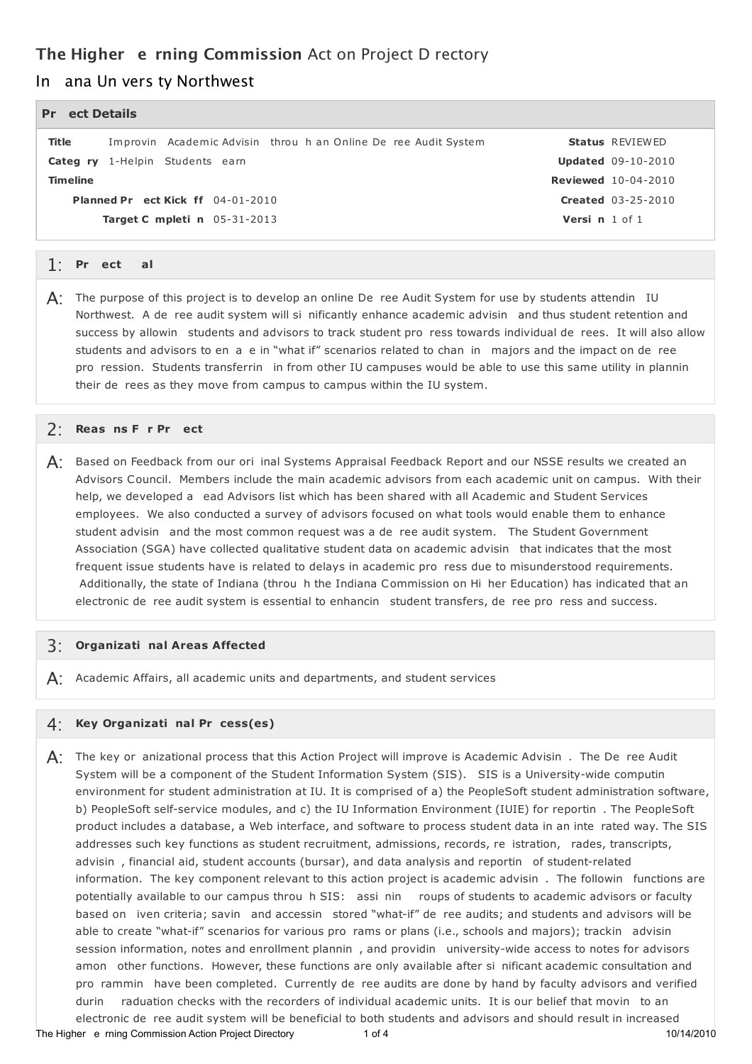# **The Higher e rning Commission** Act on Project D rectory

#### In ana Un vers ty Northwest

#### **oj Pr ect Details**

**oj o Planned Pr ect Kick ff** 04-01-2010 **o o Target C mpleti n** 05-31-2013 g g g g **Title** Improvin Academic Advisin throu h an Online De ree Audit System **Status** REVIEWED **Categ ry** 1-Helpin Students earn **o Versi n** 1 o f 1 **Timeline Updated** 09-10-2010 **Reviewed** 10-04-2010 **Created** 03-25-2010

## **oj Go** 1: **Pr ect al**

 $\mathsf{A}$ : The purpose of this project is to develop an online De ree Audit System for use by students attendin IU Northwest. A de ree audit system will si nificantly enhance academic advisin and thus student retention and success by allowin students and advisors to track student pro ress towards individual de rees. It will also allow students and advisors to en a e in "what if" scenarios related to chan in majors and the impact on de ree pro ression. Students transferrin in from other IU campuses would be able to use this same utility in plannin g their de rees as they move from campus to campus within the IU system.

## **o o oj** 2: **Reas ns F r Pr ect**

 ${\sf A}$ : Based on Feedback from our ori inal Systems Appraisal Feedback Report and our NSSE results we created an Advisors Council. Members include the main academic advisors from each academic unit on campus. With their help, we developed a ead Advisors list which has been shared with all Academic and Student Services employees. We also conducted a survey of advisors focused on what tools would enable them to enhance student advisin and the most common request was a de ree audit system. The Student Government g Association (SGA) have collected qualitative student data on academic advisin that indicates that the most frequent issue students have is related to delays in academic pro ress due to misunderstood requirements. Additionally, the state of Indiana (throu h the Indiana Commission on Hi her Education) has indicated that an electronic de ree audit system is essential to enhancin student transfers, de ree pro ress and success.

## **o** 3: **Organizati nal Areas Affected**

 $\mathsf{A}$ : Academic Affairs, all academic units and departments, and student services

## **o o** 4: **Key Organizati nal Pr cess(es)**

 ${\sf A}$ : The key or anizational process that this Action Project will improve is Academic Advisin . The De ree Audit System will be a component of the Student Information System (SIS). SIS is a University-wide computin environment for student administration at IU. It is comprised of a) the PeopleSoft student administration software, g b) PeopleSoft self-service modules, and c) the IU Information Environment (IUIE) for reportin . The PeopleSoft product includes a database, a Web interface, and software to process student data in an inte rated way. The SIS addresses such key functions as student recruitment, admissions, records, re istration, rades, transcripts, advisin, financial aid, student accounts (bursar), and data analysis and reportin of student-related information. The key component relevant to this action project is academic advisin. The followin functions are potentially available to our campus throu h SIS: assi nin roups of students to academic advisors or faculty based on iven criteria; savin and accessin stored "what-if" de ree audits; and students and advisors will be able to create "what-if" scenarios for various pro rams or plans (i.e., schools and majors); trackin advisin session information, notes and enrollment plannin , and providin university-wide access to notes for advisors amon other functions. However, these functions are only available after si nificant academic consultation and pro rammin have been completed. Currently de ree audits are done by hand by faculty advisors and verified durin raduation checks with the recorders of individual academic units. It is our belief that movin to an g electronic de ree audit system will be beneficial to both students and advisors and should result in increased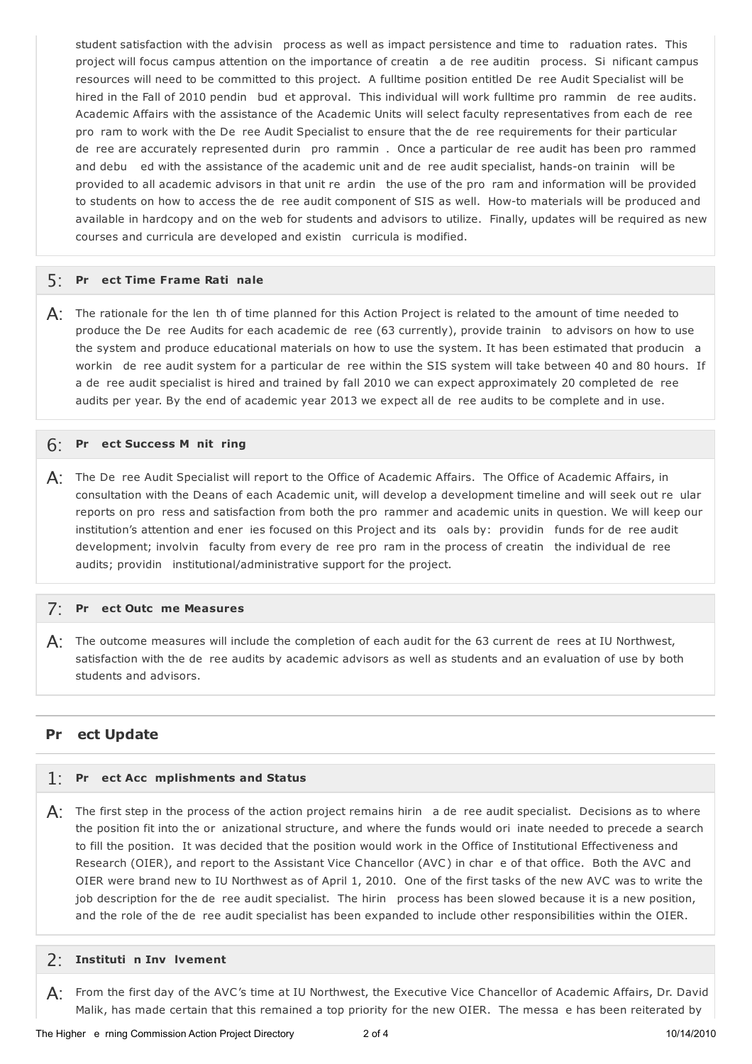student satisfaction with the advisin process as well as impact persistence and time to raduation rates. This project will focus campus attention on the importance of creatin a de ree auditin process. Si nificant campus g resources will need to be committed to this project. A fulltime position entitled De ree Audit Specialist will be hired in the Fall of 2010 pendin bud et approval. This individual will work fulltime pro rammin de ree audits. g Academic Affairs with the assistance of the Academic Units will select faculty representatives from each de ree pro ram to work with the De ree Audit Specialist to ensure that the de ree requirements for their particular de ree are accurately represented durin pro rammin. Once a particular de ree audit has been pro rammed and debu ed with the assistance of the academic unit and de ree audit specialist, hands-on trainin will be provided to all academic advisors in that unit re ardin the use of the pro ram and information will be provided to students on how to access the de ree audit component of SIS as well. How-to materials will be produced and available in hardcopy and on the web for students and advisors to utilize. Finally, updates will be required as new g courses and curricula are developed and existin curricula is modified.

## **oj o** 5: **Pr ect Time Frame Rati nale**

 $\bm{\mathsf{A}}$ : The rationale for the len th of time planned for this Action Project is related to the amount of time needed to produce the De ree Audits for each academic de ree (63 currently), provide trainin to advisors on how to use the system and produce educational materials on how to use the system. It has been estimated that producin a workin de ree audit system for a particular de ree within the SIS system will take between 40 and 80 hours. If a de ree audit specialist is hired and trained by fall 2010 we can expect approximately 20 completed de ree audits per year. By the end of academic year 2013 we expect all de ree audits to be complete and in use.

# **oj o o** 6: **Pr ect Success M nit ring**

 ${\sf A}$ : The De ree Audit Specialist will report to the Office of Academic Affairs. The Office of Academic Affairs, in g consultation with the Deans of each Academic unit, will develop a development timeline and will seek out re ular reports on pro ress and satisfaction from both the pro rammer and academic units in question. We will keep our institution's attention and ener ies focused on this Project and its oals by: providin funds for de ree audit development; involvin faculty from every de ree pro ram in the process of creatin the individual de ree audits; providin institutional/administrative support for the project.

## **oj o** 7: **Pr ect Outc me Measures**

 $\bm{\mathsf{A}}$ : The outcome measures will include the completion of each audit for the 63 current de rees at IU Northwest, satisfaction with the de ree audits by academic advisors as well as students and an evaluation of use by both students and advisors.

#### **oj Pr ect Update**

## **oj o** 1: **Pr ect Acc mplishments and Status**

 $A$ : The first step in the process of the action project remains hirin ande ree audit specialist. Decisions as to where the position fit into the or anizational structure, and where the funds would ori inate needed to precede a search to fill the position. It was decided that the position would work in the Office of Institutional Effectiveness and Research (OIER), and report to the Assistant Vice Chancellor (AVC) in char e of that office. Both the AVC and OIER were brand new to IU Northwest as of April 1, 2010. One of the first tasks of the new AVC was to write the job description for the de ree audit specialist. The hirin process has been slowed because it is a new position, and the role of the de ree audit specialist has been expanded to include other responsibilities within the OIER.

## **o o** 2: **Instituti n Inv lvement**

 $\bm{\mathsf{A}}$ : From the first day of the AVC's time at IU Northwest, the Executive Vice Chancellor of Academic Affairs, Dr. David Malik, has made certain that this remained a top priority for the new OIER. The messa e has been reiterated by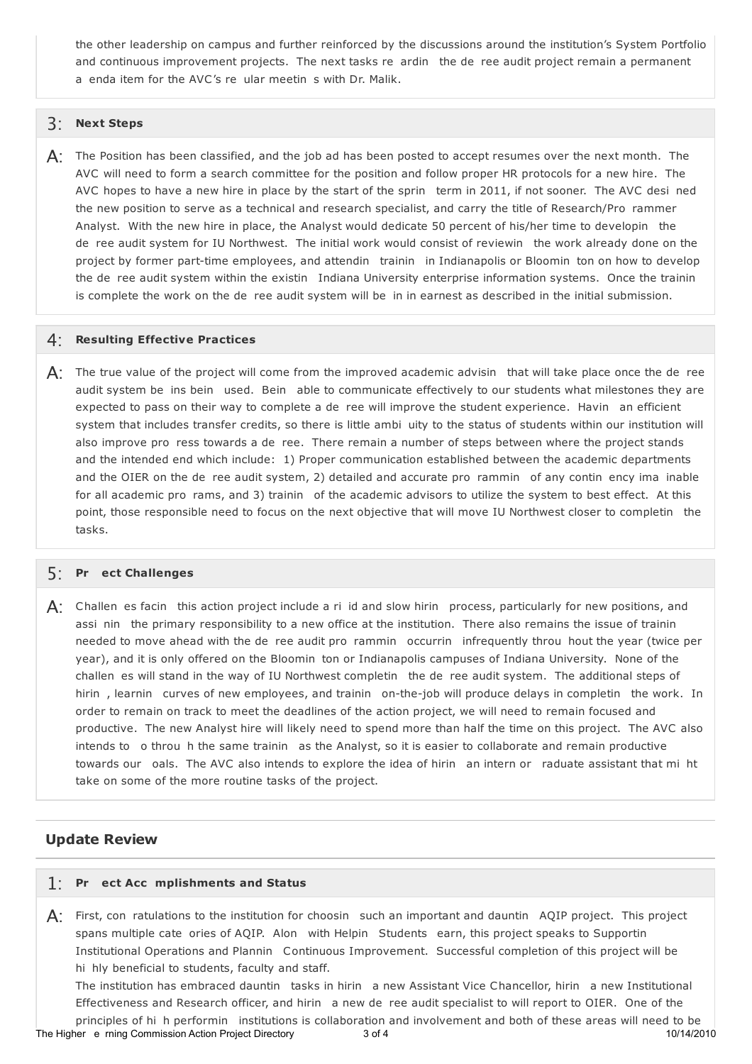the other leadership on campus and further reinforced by the discussions around the institution's System Portfolio and continuous improvement projects. The next tasks re ardin the de ree audit project remain a permanent a enda item for the AVC's re ular meetin s with Dr. Malik.

#### 3: **Next Steps**

 ${\sf A}$ : The Position has been classified, and the job ad has been posted to accept resumes over the next month. The AVC will need to form a search committee for the position and follow proper HR protocols for a new hire. The AVC hopes to have a new hire in place by the start of the sprin term in 2011, if not sooner. The AVC desi ned g the new position to serve as a technical and research specialist, and carry the title of Research/Pro rammer Analyst. With the new hire in place, the Analyst would dedicate 50 percent of his/her time to developin the de ree audit system for IU Northwest. The initial work would consist of reviewin the work already done on the project by former part-time employees, and attendin trainin in Indianapolis or Bloomin ton on how to develop the de ree audit system within the existin Indiana University enterprise information systems. Once the trainin is complete the work on the de ree audit system will be in in earnest as described in the initial submission.

#### 4: **Resulting Effective Practices**

 $\mathsf{A}$ : The true value of the project will come from the improved academic advisin that will take place once the de ree audit system be ins bein used. Bein able to communicate effectively to our students what milestones they are expected to pass on their way to complete a de ree will improve the student experience. Havin an efficient g system that includes transfer credits, so there is little ambi uity to the status of students within our institution will also improve pro ress towards a de ree. There remain a number of steps between where the project stands and the intended end which include: 1) Proper communication established between the academic departments and the OIER on the de ree audit system, 2) detailed and accurate pro rammin of any contin ency ima inable for all academic pro rams, and 3) trainin of the academic advisors to utilize the system to best effect. At this point, those responsible need to focus on the next objective that will move IU Northwest closer to completin the tasks.

# **oj** 5: **Pr ect Challenges**

 $\mathsf{A}$ : Challen es facin this action project include a ri id and slow hirin process, particularly for new positions, and assi nin the primary responsibility to a new office at the institution. There also remains the issue of trainin needed to move ahead with the de ree audit pro rammin occurrin infrequently throu hout the year (twice per g year), and it is only offered on the Bloomin ton or Indianapolis campuses of Indiana University. None of the challen es will stand in the way of IU Northwest completin the de ree audit system. The additional steps of hirin, learnin curves of new employees, and trainin on-the-job will produce delays in completin the work. In order to remain on track to meet the deadlines of the action project, we will need to remain focused and productive. The new Analyst hire will likely need to spend more than half the time on this project. The AVC also intends to o throu h the same trainin as the Analyst, so it is easier to collaborate and remain productive towards our oals. The AVC also intends to explore the idea of hirin an intern or raduate assistant that mi ht take on some of the more routine tasks of the project.

#### **Update Review**

## **oj o** 1: **Pr ect Acc mplishments and Status**

 $A$ : First, con ratulations to the institution for choosin such an important and dauntin AQIP project. This project spans multiple cate ories of AQIP. Alon with Helpin Students earn, this project speaks to Supportin Institutional Operations and Plannin Continuous Improvement. Successful completion of this project will be g hi hly beneficial to students, faculty and staff.

The institution has embraced dauntin tasks in hirin a new Assistant Vice Chancellor, hirin a new Institutional Effectiveness and Research officer, and hirin a new de ree audit specialist to will report to OIER. One of the

principles of hi h performin institutions is collaboration and involvement and both of these areas will need to be The Higher e rning Commission Action Project Directory 3 of 4 10/14/2010